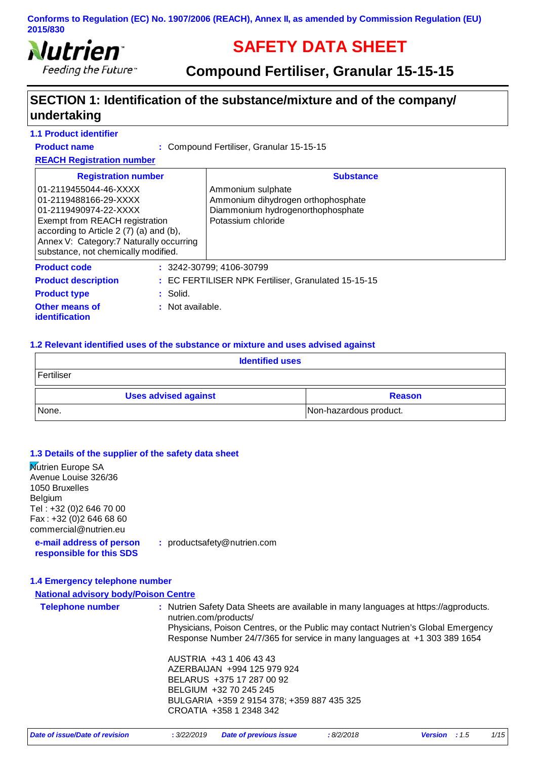

# **SAFETY DATA SHEET**

# **Compound Fertiliser, Granular 15-15-15**

# **SECTION 1: Identification of the substance/mixture and of the company/ undertaking**

#### **1.1 Product identifier**

**Product name**

Compound Fertiliser, Granular 15-15-15 **:**

#### **REACH Registration number**

| <b>Registration number</b>                                                                                                                                                                                                              |                    | <b>Substance</b>                                                                                                   |  |
|-----------------------------------------------------------------------------------------------------------------------------------------------------------------------------------------------------------------------------------------|--------------------|--------------------------------------------------------------------------------------------------------------------|--|
| 01-2119455044-46-XXXX<br>01-2119488166-29-XXXX<br>01-2119490974-22-XXXX<br>Exempt from REACH registration<br>according to Article 2 (7) (a) and (b),<br>Annex V: Category: 7 Naturally occurring<br>substance, not chemically modified. |                    | Ammonium sulphate<br>Ammonium dihydrogen orthophosphate<br>Diammonium hydrogenorthophosphate<br>Potassium chloride |  |
| <b>Product code</b>                                                                                                                                                                                                                     |                    | $: 3242 - 30799$ ; 4106-30799                                                                                      |  |
| <b>Product description</b>                                                                                                                                                                                                              |                    | : EC FERTILISER NPK Fertiliser, Granulated 15-15-15                                                                |  |
| <b>Product type</b>                                                                                                                                                                                                                     | $:$ Solid.         |                                                                                                                    |  |
| <b>Other means of</b><br>identification                                                                                                                                                                                                 | $:$ Not available. |                                                                                                                    |  |

#### **1.2 Relevant identified uses of the substance or mixture and uses advised against**

| <b>Identified uses</b>                       |                        |  |
|----------------------------------------------|------------------------|--|
| Fertiliser                                   |                        |  |
| <b>Uses advised against</b><br><b>Reason</b> |                        |  |
| None.                                        | Non-hazardous product. |  |

#### **1.3 Details of the supplier of the safety data sheet**

**Mutrien Europe SA** Avenue Louise 326/36 1050 Bruxelles Belgium Tel : +32 (0)2 646 70 00 Fax : +32 (0)2 646 68 60 commercial@nutrien.eu

**e-mail address of person responsible for this SDS :** productsafety@nutrien.com

#### **1.4 Emergency telephone number**

#### **National advisory body/Poison Centre**

| <b>Telephone number</b> | : Nutrien Safety Data Sheets are available in many languages at https://agproducts.<br>nutrien.com/products/<br>Physicians, Poison Centres, or the Public may contact Nutrien's Global Emergency<br>Response Number 24/7/365 for service in many languages at +1 303 389 1654 |
|-------------------------|-------------------------------------------------------------------------------------------------------------------------------------------------------------------------------------------------------------------------------------------------------------------------------|
|                         | AUSTRIA +43 1 406 43 43<br>AZERBAIJAN +994 125 979 924<br>BELARUS +375 17 287 00 92<br>BELGIUM +32 70 245 245<br>BULGARIA +359 2 9154 378; +359 887 435 325<br>CROATIA +358 1 2348 342                                                                                        |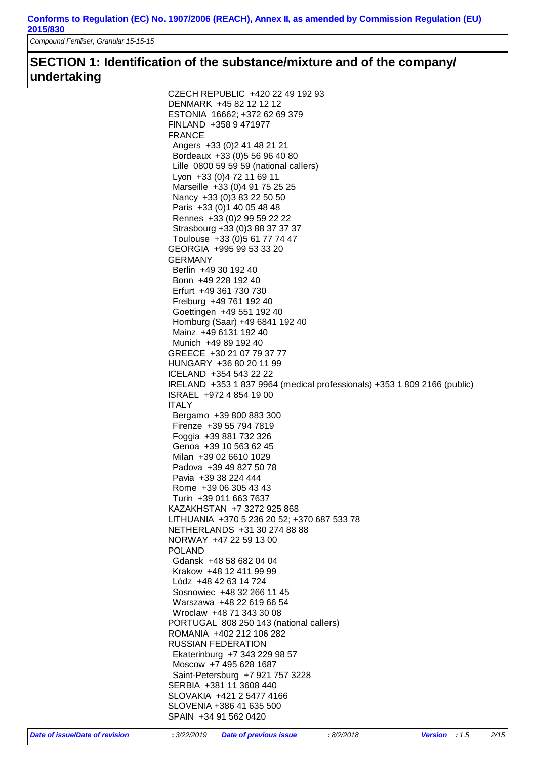*Compound Fertiliser, Granular 15-15-15*

# **SECTION 1: Identification of the substance/mixture and of the company/ undertaking**

| CZECH REPUBLIC +420 22 49 192 93                                         |
|--------------------------------------------------------------------------|
| DENMARK +45 82 12 12 12                                                  |
|                                                                          |
| ESTONIA 16662; +372 62 69 379                                            |
| FINLAND +358 9 471977                                                    |
| <b>FRANCE</b>                                                            |
|                                                                          |
| Angers +33 (0) 2 41 48 21 21                                             |
| Bordeaux +33 (0) 5 56 96 40 80                                           |
|                                                                          |
| Lille 0800 59 59 59 (national callers)                                   |
| Lyon +33 (0) 4 72 11 69 11                                               |
| Marseille +33 (0)4 91 75 25 25                                           |
|                                                                          |
| Nancy +33 (0) 3 83 22 50 50                                              |
| Paris +33 (0) 1 40 05 48 48                                              |
|                                                                          |
| Rennes +33 (0) 2 99 59 22 22                                             |
| Strasbourg +33 (0) 3 88 37 37 37                                         |
| Toulouse +33 (0)5 61 77 74 47                                            |
|                                                                          |
| GEORGIA +995 99 53 33 20                                                 |
| GERMANY                                                                  |
| Berlin +49 30 192 40                                                     |
|                                                                          |
| Bonn +49 228 192 40                                                      |
| Erfurt +49 361 730 730                                                   |
|                                                                          |
| Freiburg +49 761 192 40                                                  |
| Goettingen +49 551 192 40                                                |
| Homburg (Saar) +49 6841 192 40                                           |
|                                                                          |
| Mainz +49 6131 192 40                                                    |
| Munich +49 89 192 40                                                     |
|                                                                          |
| GREECE +30 21 07 79 37 77                                                |
| HUNGARY +36 80 20 11 99                                                  |
| ICELAND +354 543 22 22                                                   |
|                                                                          |
| IRELAND +353 1 837 9964 (medical professionals) +353 1 809 2166 (public) |
| ISRAEL +972 4 854 19 00                                                  |
| <b>ITALY</b>                                                             |
|                                                                          |
| Bergamo +39 800 883 300                                                  |
| Firenze +39 55 794 7819                                                  |
|                                                                          |
| Foggia +39 881 732 326                                                   |
| Genoa +39 10 563 62 45                                                   |
| Milan +39 02 6610 1029                                                   |
|                                                                          |
| Padova +39 49 827 50 78                                                  |
| Pavia +39 38 224 444                                                     |
|                                                                          |
| Rome +39 06 305 43 43                                                    |
| Turin +39 011 663 7637                                                   |
| KAZAKHSTAN +7 3272 925 868                                               |
|                                                                          |
| LITHUANIA +370 5 236 20 52; +370 687 533 78                              |
| NETHERLANDS +31 30 274 88 88                                             |
| NORWAY +47 22 59 13 00                                                   |
|                                                                          |
| <b>POLAND</b>                                                            |
| Gdansk +48 58 682 04 04                                                  |
| Krakow +48 12 411 99 99                                                  |
|                                                                          |
| Lòdz +48 42 63 14 724                                                    |
| Sosnowiec +48 32 266 11 45                                               |
|                                                                          |
| Warszawa +48 22 619 66 54                                                |
| Wroclaw +48 71 343 30 08                                                 |
| PORTUGAL 808 250 143 (national callers)                                  |
|                                                                          |
| ROMANIA +402 212 106 282                                                 |
| <b>RUSSIAN FEDERATION</b>                                                |
|                                                                          |
| Ekaterinburg +7 343 229 98 57                                            |
| Moscow +7 495 628 1687                                                   |
|                                                                          |
|                                                                          |
| Saint-Petersburg +7 921 757 3228                                         |
| SERBIA +381 11 3608 440                                                  |
|                                                                          |
| SLOVAKIA +421 2 5477 4166                                                |
| SLOVENIA +386 41 635 500                                                 |
| SPAIN +34 91 562 0420                                                    |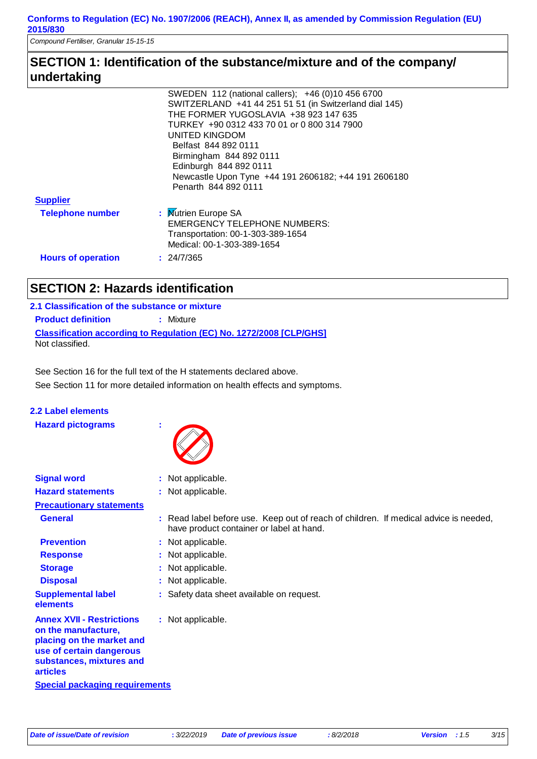*Compound Fertiliser, Granular 15-15-15*

# **SECTION 1: Identification of the substance/mixture and of the company/ undertaking**

|                           | SWEDEN 112 (national callers); +46 (0)10 456 6700      |
|---------------------------|--------------------------------------------------------|
|                           | SWITZERLAND +41 44 251 51 51 (in Switzerland dial 145) |
|                           | THE FORMER YUGOSLAVIA +38 923 147 635                  |
|                           | TURKEY +90 0312 433 70 01 or 0 800 314 7900            |
|                           | UNITED KINGDOM                                         |
|                           | Belfast 844 892 0111                                   |
|                           | Birmingham 844 892 0111                                |
|                           | Edinburgh 844 892 0111                                 |
|                           | Newcastle Upon Tyne +44 191 2606182; +44 191 2606180   |
|                           | Penarth 844 892 0111                                   |
| <b>Supplier</b>           |                                                        |
| <b>Telephone number</b>   | : Mutrien Europe SA                                    |
|                           | <b>EMERGENCY TELEPHONE NUMBERS:</b>                    |
|                           | Transportation: 00-1-303-389-1654                      |
|                           | Medical: 00-1-303-389-1654                             |
| <b>Hours of operation</b> | : 24/7/365                                             |

# **SECTION 2: Hazards identification**

### **Classification according to Regulation (EC) No. 1272/2008 [CLP/GHS] 2.1 Classification of the substance or mixture Product definition : Mixture** Not classified.

See Section 11 for more detailed information on health effects and symptoms. See Section 16 for the full text of the H statements declared above.

### **2.2 Label elements**

**Hazard pictograms :**



| <b>Signal word</b>                                                                                                                                              | : Not applicable.                                                                                                                |
|-----------------------------------------------------------------------------------------------------------------------------------------------------------------|----------------------------------------------------------------------------------------------------------------------------------|
| <b>Hazard statements</b>                                                                                                                                        | : Not applicable.                                                                                                                |
| <b>Precautionary statements</b>                                                                                                                                 |                                                                                                                                  |
| <b>General</b>                                                                                                                                                  | : Read label before use. Keep out of reach of children. If medical advice is needed,<br>have product container or label at hand. |
| <b>Prevention</b>                                                                                                                                               | : Not applicable.                                                                                                                |
| <b>Response</b>                                                                                                                                                 | : Not applicable.                                                                                                                |
| <b>Storage</b>                                                                                                                                                  | : Not applicable.                                                                                                                |
| <b>Disposal</b>                                                                                                                                                 | : Not applicable.                                                                                                                |
| <b>Supplemental label</b><br>elements                                                                                                                           | : Safety data sheet available on request.                                                                                        |
| <b>Annex XVII - Restrictions</b><br>on the manufacture,<br>placing on the market and<br>use of certain dangerous<br>substances, mixtures and<br><b>articles</b> | : Not applicable.                                                                                                                |
| <b>Special packaging requirements</b>                                                                                                                           |                                                                                                                                  |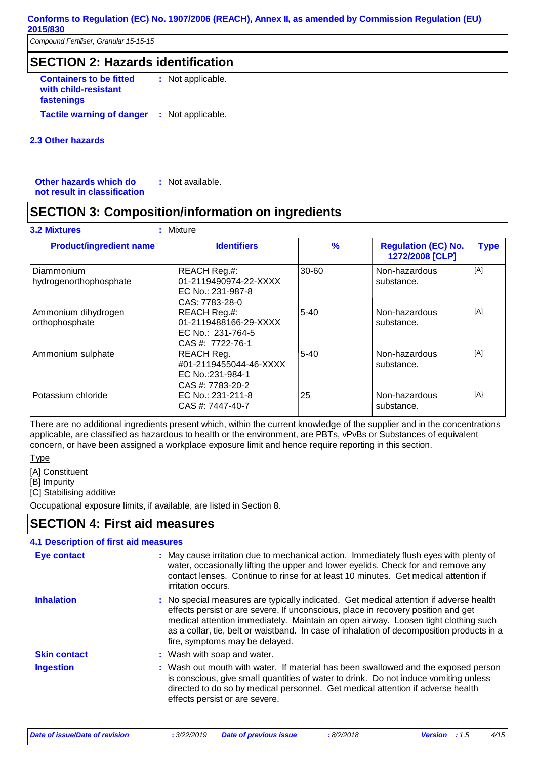*Compound Fertiliser, Granular 15-15-15*

# **SECTION 2: Hazards identification**

**Containers to be fitted with child-resistant fastenings** : Not applicable. **Tactile warning of danger : Not applicable.** 

#### **2.3 Other hazards**

**Other hazards which do : not result in classification** : Not available.

# **SECTION 3: Composition/information on ingredients**

| <b>Product/ingredient name</b>              | <b>Identifiers</b>                                                             | $\frac{9}{6}$ | <b>Regulation (EC) No.</b><br>1272/2008 [CLP] | <b>Type</b> |
|---------------------------------------------|--------------------------------------------------------------------------------|---------------|-----------------------------------------------|-------------|
| <b>Diammonium</b><br>hydrogenorthophosphate | REACH Reg.#:<br>01-2119490974-22-XXXX<br>EC No.: 231-987-8<br>CAS: 7783-28-0   | 30-60         | Non-hazardous<br>substance.                   | [A]         |
| Ammonium dihydrogen<br>orthophosphate       | REACH Reg.#:<br>01-2119488166-29-XXXX<br>EC No.: 231-764-5<br>CAS #: 7722-76-1 | $5 - 40$      | Non-hazardous<br>substance.                   | [A]         |
| Ammonium sulphate                           | REACH Reg.<br>#01-2119455044-46-XXXX<br>EC No.:231-984-1<br>CAS #: 7783-20-2   | $5 - 40$      | Non-hazardous<br>substance.                   | [A]         |
| Potassium chloride                          | EC No.: 231-211-8<br>CAS #: 7447-40-7                                          | 25            | Non-hazardous<br>substance.                   | [A]         |

There are no additional ingredients present which, within the current knowledge of the supplier and in the concentrations applicable, are classified as hazardous to health or the environment, are PBTs, vPvBs or Substances of equivalent concern, or have been assigned a workplace exposure limit and hence require reporting in this section.

**Type** 

[A] Constituent

[B] Impurity

[C] Stabilising additive

Occupational exposure limits, if available, are listed in Section 8.

# **SECTION 4: First aid measures**

#### Wash out mouth with water. If material has been swallowed and the exposed person **:** is conscious, give small quantities of water to drink. Do not induce vomiting unless directed to do so by medical personnel. Get medical attention if adverse health effects persist or are severe. **Skin contact** May cause irritation due to mechanical action. Immediately flush eyes with plenty of **:** water, occasionally lifting the upper and lower eyelids. Check for and remove any contact lenses. Continue to rinse for at least 10 minutes. Get medical attention if irritation occurs. Wash with soap and water. **: 4.1 Description of first aid measures** No special measures are typically indicated. Get medical attention if adverse health **:** effects persist or are severe. If unconscious, place in recovery position and get medical attention immediately. Maintain an open airway. Loosen tight clothing such as a collar, tie, belt or waistband. In case of inhalation of decomposition products in a fire, symptoms may be delayed. **Ingestion Inhalation Eye contact**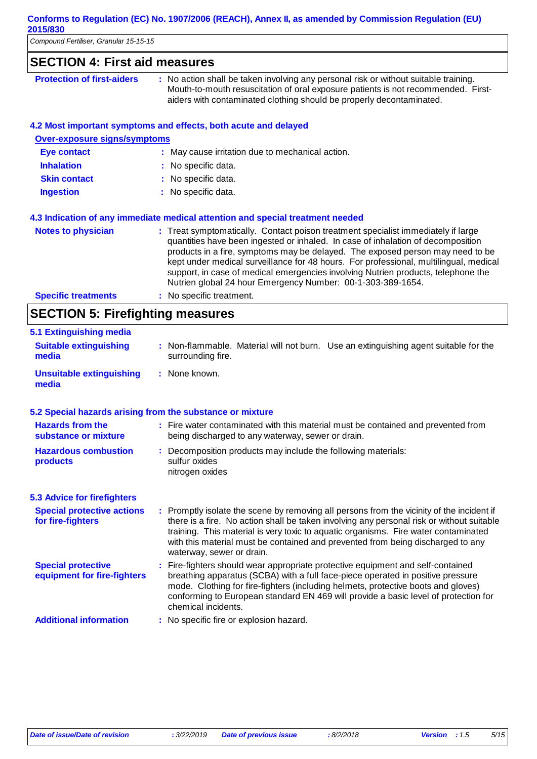| Compound Fertiliser, Granular 15-15-15                 |                                                                                                                                                                                                                                                                                                                                                                                                                                                                                                      |
|--------------------------------------------------------|------------------------------------------------------------------------------------------------------------------------------------------------------------------------------------------------------------------------------------------------------------------------------------------------------------------------------------------------------------------------------------------------------------------------------------------------------------------------------------------------------|
| <b>SECTION 4: First aid measures</b>                   |                                                                                                                                                                                                                                                                                                                                                                                                                                                                                                      |
| <b>Protection of first-aiders</b>                      | : No action shall be taken involving any personal risk or without suitable training.<br>Mouth-to-mouth resuscitation of oral exposure patients is not recommended. First-<br>aiders with contaminated clothing should be properly decontaminated.                                                                                                                                                                                                                                                    |
|                                                        | 4.2 Most important symptoms and effects, both acute and delayed                                                                                                                                                                                                                                                                                                                                                                                                                                      |
| <b>Over-exposure signs/symptoms</b>                    |                                                                                                                                                                                                                                                                                                                                                                                                                                                                                                      |
| <b>Eye contact</b>                                     | : May cause irritation due to mechanical action.                                                                                                                                                                                                                                                                                                                                                                                                                                                     |
| <b>Inhalation</b>                                      | No specific data.                                                                                                                                                                                                                                                                                                                                                                                                                                                                                    |
| <b>Skin contact</b>                                    | No specific data.                                                                                                                                                                                                                                                                                                                                                                                                                                                                                    |
| <b>Ingestion</b>                                       | : No specific data.                                                                                                                                                                                                                                                                                                                                                                                                                                                                                  |
|                                                        | 4.3 Indication of any immediate medical attention and special treatment needed                                                                                                                                                                                                                                                                                                                                                                                                                       |
| <b>Notes to physician</b>                              | : Treat symptomatically. Contact poison treatment specialist immediately if large<br>quantities have been ingested or inhaled. In case of inhalation of decomposition<br>products in a fire, symptoms may be delayed. The exposed person may need to be<br>kept under medical surveillance for 48 hours. For professional, multilingual, medical<br>support, in case of medical emergencies involving Nutrien products, telephone the<br>Nutrien global 24 hour Emergency Number: 00-1-303-389-1654. |
| <b>Specific treatments</b>                             | : No specific treatment.                                                                                                                                                                                                                                                                                                                                                                                                                                                                             |
| <b>SECTION 5: Firefighting measures</b>                |                                                                                                                                                                                                                                                                                                                                                                                                                                                                                                      |
| 5.1 Extinguishing media                                |                                                                                                                                                                                                                                                                                                                                                                                                                                                                                                      |
| <b>Suitable extinguishing</b><br>media                 | : Non-flammable. Material will not burn. Use an extinguishing agent suitable for the<br>surrounding fire.                                                                                                                                                                                                                                                                                                                                                                                            |
| <b>Unsuitable extinguishing</b><br>media               | : None known.                                                                                                                                                                                                                                                                                                                                                                                                                                                                                        |
|                                                        | 5.2 Special hazards arising from the substance or mixture                                                                                                                                                                                                                                                                                                                                                                                                                                            |
| <b>Hazards from the</b><br>substance or mixture        | : Fire water contaminated with this material must be contained and prevented from<br>being discharged to any waterway, sewer or drain.                                                                                                                                                                                                                                                                                                                                                               |
| <b>Hazardous combustion</b><br>products                | : Decomposition products may include the following materials:<br>sulfur oxides<br>nitrogen oxides                                                                                                                                                                                                                                                                                                                                                                                                    |
| <b>5.3 Advice for firefighters</b>                     |                                                                                                                                                                                                                                                                                                                                                                                                                                                                                                      |
| <b>Special protective actions</b><br>for fire-fighters | : Promptly isolate the scene by removing all persons from the vicinity of the incident if<br>there is a fire. No action shall be taken involving any personal risk or without suitable<br>training. This material is very toxic to aquatic organisms. Fire water contaminated<br>with this material must be contained and prevented from being discharged to any<br>waterway, sewer or drain.                                                                                                        |

Fire-fighters should wear appropriate protective equipment and self-contained **:** breathing apparatus (SCBA) with a full face-piece operated in positive pressure mode. Clothing for fire-fighters (including helmets, protective boots and gloves) conforming to European standard EN 469 will provide a basic level of protection for chemical incidents. **Special protective equipment for fire-fighters**

**Additional information :** No specific fire or explosion hazard.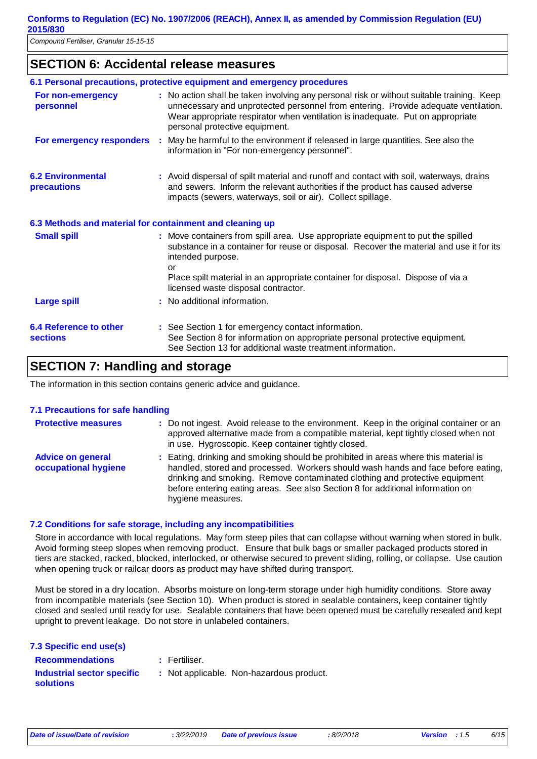# **SECTION 6: Accidental release measures**

|                                                          | 6.1 Personal precautions, protective equipment and emergency procedures                                                                                                                                                                                                                             |  |
|----------------------------------------------------------|-----------------------------------------------------------------------------------------------------------------------------------------------------------------------------------------------------------------------------------------------------------------------------------------------------|--|
| For non-emergency<br>personnel                           | : No action shall be taken involving any personal risk or without suitable training. Keep<br>unnecessary and unprotected personnel from entering. Provide adequate ventilation.<br>Wear appropriate respirator when ventilation is inadequate. Put on appropriate<br>personal protective equipment. |  |
| For emergency responders                                 | : May be harmful to the environment if released in large quantities. See also the<br>information in "For non-emergency personnel".                                                                                                                                                                  |  |
| <b>6.2 Environmental</b><br>precautions                  | : Avoid dispersal of spilt material and runoff and contact with soil, waterways, drains<br>and sewers. Inform the relevant authorities if the product has caused adverse<br>impacts (sewers, waterways, soil or air). Collect spillage.                                                             |  |
| 6.3 Methods and material for containment and cleaning up |                                                                                                                                                                                                                                                                                                     |  |
| <b>Small spill</b>                                       | : Move containers from spill area. Use appropriate equipment to put the spilled<br>substance in a container for reuse or disposal. Recover the material and use it for its<br>intended purpose.<br>or                                                                                               |  |
|                                                          | Place spilt material in an appropriate container for disposal. Dispose of via a<br>licensed waste disposal contractor.                                                                                                                                                                              |  |
| <b>Large spill</b>                                       | : No additional information.                                                                                                                                                                                                                                                                        |  |
| <b>6.4 Reference to other</b><br><b>sections</b>         | : See Section 1 for emergency contact information.<br>See Section 8 for information on appropriate personal protective equipment.<br>See Section 13 for additional waste treatment information.                                                                                                     |  |

# **SECTION 7: Handling and storage**

The information in this section contains generic advice and guidance.

#### **7.1 Precautions for safe handling**

| <b>Protective measures</b>                       | : Do not ingest. Avoid release to the environment. Keep in the original container or an<br>approved alternative made from a compatible material, kept tightly closed when not<br>in use. Hygroscopic. Keep container tightly closed.                                                                                                                          |
|--------------------------------------------------|---------------------------------------------------------------------------------------------------------------------------------------------------------------------------------------------------------------------------------------------------------------------------------------------------------------------------------------------------------------|
| <b>Advice on general</b><br>occupational hygiene | : Eating, drinking and smoking should be prohibited in areas where this material is<br>handled, stored and processed. Workers should wash hands and face before eating,<br>drinking and smoking. Remove contaminated clothing and protective equipment<br>before entering eating areas. See also Section 8 for additional information on<br>hygiene measures. |

#### **7.2 Conditions for safe storage, including any incompatibilities**

Store in accordance with local regulations. May form steep piles that can collapse without warning when stored in bulk. Avoid forming steep slopes when removing product. Ensure that bulk bags or smaller packaged products stored in tiers are stacked, racked, blocked, interlocked, or otherwise secured to prevent sliding, rolling, or collapse. Use caution when opening truck or railcar doors as product may have shifted during transport.

Must be stored in a dry location. Absorbs moisture on long-term storage under high humidity conditions. Store away from incompatible materials (see Section 10). When product is stored in sealable containers, keep container tightly closed and sealed until ready for use. Sealable containers that have been opened must be carefully resealed and kept upright to prevent leakage. Do not store in unlabeled containers.

| 7.3 Specific end use(s) |  |  |  |
|-------------------------|--|--|--|
|-------------------------|--|--|--|

Fertiliser.

**Recommendations : Industrial sector specific : solutions**

: Not applicable. Non-hazardous product.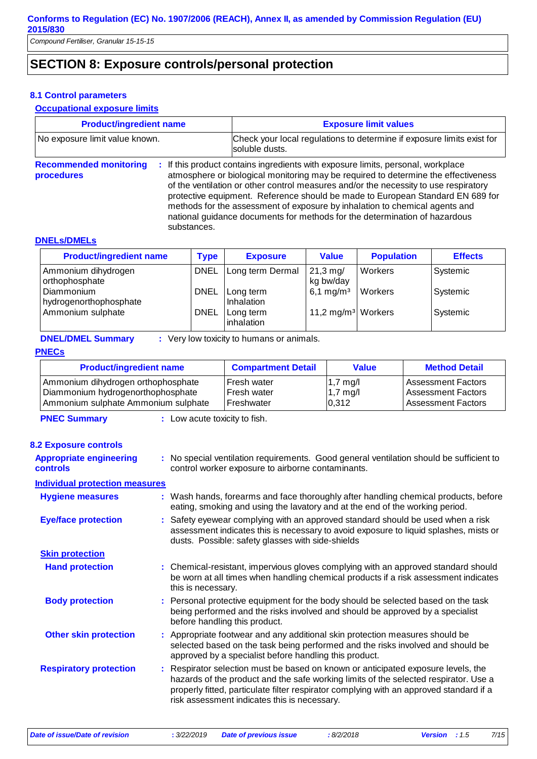# **SECTION 8: Exposure controls/personal protection**

#### **8.1 Control parameters**

#### **Occupational exposure limits**

| <b>Product/ingredient name</b>                             | <b>Exposure limit values</b><br>Check your local regulations to determine if exposure limits exist for<br>soluble dusts.                                                                                                                                                                                                                                                                                                                                                                                      |  |
|------------------------------------------------------------|---------------------------------------------------------------------------------------------------------------------------------------------------------------------------------------------------------------------------------------------------------------------------------------------------------------------------------------------------------------------------------------------------------------------------------------------------------------------------------------------------------------|--|
| No exposure limit value known.                             |                                                                                                                                                                                                                                                                                                                                                                                                                                                                                                               |  |
| <b>Recommended monitoring</b><br>procedures<br>substances. | : If this product contains ingredients with exposure limits, personal, workplace<br>atmosphere or biological monitoring may be required to determine the effectiveness<br>of the ventilation or other control measures and/or the necessity to use respiratory<br>protective equipment. Reference should be made to European Standard EN 689 for<br>methods for the assessment of exposure by inhalation to chemical agents and<br>national guidance documents for methods for the determination of hazardous |  |
|                                                            |                                                                                                                                                                                                                                                                                                                                                                                                                                                                                                               |  |

#### **DNELs/DMELs**

| <b>Product/ingredient name</b>        | Type        | <b>Exposure</b>         | <b>Value</b>                      | <b>Population</b> | <b>Effects</b> |
|---------------------------------------|-------------|-------------------------|-----------------------------------|-------------------|----------------|
| Ammonium dihydrogen<br>orthophosphate | <b>DNEL</b> | Long term Dermal        | $21,3 \,\mathrm{mg}$<br>kg bw/day | Workers           | Systemic       |
| Diammonium<br>hydrogenorthophosphate  | <b>DNEL</b> | Long term<br>Inhalation | 6,1 mg/m <sup>3</sup>             | <b>Workers</b>    | Systemic       |
| Ammonium sulphate                     | <b>DNEL</b> | Long term<br>inhalation | 11,2 mg/m <sup>3</sup> Workers    |                   | Systemic       |

**DNEL/DMEL Summary :** Very low toxicity to humans or animals.

#### **PNECs**

| <b>Product/ingredient name</b>      | <b>Compartment Detail</b> | Value              | <b>Method Detail</b>      |
|-------------------------------------|---------------------------|--------------------|---------------------------|
| Ammonium dihydrogen orthophosphate  | Fresh water               | $1,7 \text{ mg}/I$ | <b>Assessment Factors</b> |
| Diammonium hydrogenorthophosphate   | Fresh water               | $1,7 \text{ mg}/I$ | <b>Assessment Factors</b> |
| Ammonium sulphate Ammonium sulphate | Freshwater                | 0,312              | <b>Assessment Factors</b> |

**PNEC Summary :** Low acute toxicity to fish.

#### **8.2 Exposure controls**

| <b>Appropriate engineering</b><br><b>controls</b> | : No special ventilation requirements. Good general ventilation should be sufficient to<br>control worker exposure to airborne contaminants.                                                                                                                                                                         |
|---------------------------------------------------|----------------------------------------------------------------------------------------------------------------------------------------------------------------------------------------------------------------------------------------------------------------------------------------------------------------------|
| <b>Individual protection measures</b>             |                                                                                                                                                                                                                                                                                                                      |
| <b>Hygiene measures</b>                           | : Wash hands, forearms and face thoroughly after handling chemical products, before<br>eating, smoking and using the lavatory and at the end of the working period.                                                                                                                                                  |
| <b>Eye/face protection</b>                        | : Safety eyewear complying with an approved standard should be used when a risk<br>assessment indicates this is necessary to avoid exposure to liquid splashes, mists or<br>dusts. Possible: safety glasses with side-shields                                                                                        |
| <b>Skin protection</b>                            |                                                                                                                                                                                                                                                                                                                      |
| <b>Hand protection</b>                            | : Chemical-resistant, impervious gloves complying with an approved standard should<br>be worn at all times when handling chemical products if a risk assessment indicates<br>this is necessary.                                                                                                                      |
| <b>Body protection</b>                            | : Personal protective equipment for the body should be selected based on the task<br>being performed and the risks involved and should be approved by a specialist<br>before handling this product.                                                                                                                  |
| <b>Other skin protection</b>                      | : Appropriate footwear and any additional skin protection measures should be<br>selected based on the task being performed and the risks involved and should be<br>approved by a specialist before handling this product.                                                                                            |
| <b>Respiratory protection</b>                     | : Respirator selection must be based on known or anticipated exposure levels, the<br>hazards of the product and the safe working limits of the selected respirator. Use a<br>properly fitted, particulate filter respirator complying with an approved standard if a<br>risk assessment indicates this is necessary. |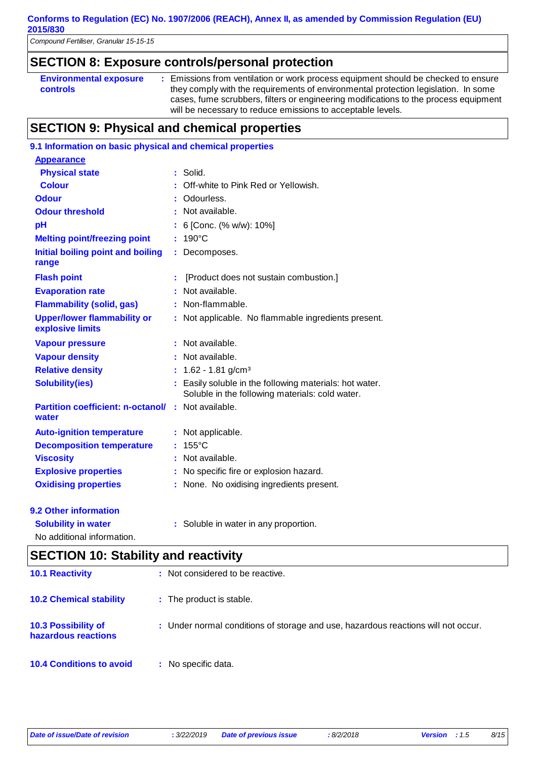*Compound Fertiliser, Granular 15-15-15*

## **SECTION 8: Exposure controls/personal protection**

| <b>Environmental exposure</b> | Emissions from ventilation or work process equipment should be checked to ensure     |
|-------------------------------|--------------------------------------------------------------------------------------|
| <b>controls</b>               | they comply with the requirements of environmental protection legislation. In some   |
|                               | cases, fume scrubbers, filters or engineering modifications to the process equipment |
|                               | will be necessary to reduce emissions to acceptable levels.                          |

# **SECTION 9: Physical and chemical properties**

| 9.1 Information on basic physical and chemical properties           |   |                                                                                                          |
|---------------------------------------------------------------------|---|----------------------------------------------------------------------------------------------------------|
| <b>Appearance</b>                                                   |   |                                                                                                          |
| <b>Physical state</b>                                               |   | Solid.                                                                                                   |
| <b>Colour</b>                                                       |   | Off-white to Pink Red or Yellowish.                                                                      |
| <b>Odour</b>                                                        |   | Odourless.                                                                                               |
| <b>Odour threshold</b>                                              | ÷ | Not available.                                                                                           |
| pH                                                                  |   | 6 [Conc. (% w/w): 10%]                                                                                   |
| <b>Melting point/freezing point</b>                                 |   | 190°C                                                                                                    |
| Initial boiling point and boiling<br>range                          |   | Decomposes.                                                                                              |
| <b>Flash point</b>                                                  | t | [Product does not sustain combustion.]                                                                   |
| <b>Evaporation rate</b>                                             |   | Not available.                                                                                           |
| <b>Flammability (solid, gas)</b>                                    |   | Non-flammable.                                                                                           |
| <b>Upper/lower flammability or</b><br>explosive limits              |   | Not applicable. No flammable ingredients present.                                                        |
| <b>Vapour pressure</b>                                              |   | Not available.                                                                                           |
| <b>Vapour density</b>                                               |   | Not available.                                                                                           |
| <b>Relative density</b>                                             | ÷ | 1.62 - 1.81 g/cm <sup>3</sup>                                                                            |
|                                                                     |   |                                                                                                          |
| <b>Solubility(ies)</b>                                              |   | Easily soluble in the following materials: hot water.<br>Soluble in the following materials: cold water. |
| <b>Partition coefficient: n-octanol/</b><br>water                   |   | : Not available.                                                                                         |
| <b>Auto-ignition temperature</b>                                    | ÷ | Not applicable.                                                                                          |
| <b>Decomposition temperature</b>                                    |   | 155°C                                                                                                    |
| <b>Viscosity</b>                                                    |   | Not available.                                                                                           |
| <b>Explosive properties</b>                                         |   | No specific fire or explosion hazard.                                                                    |
| <b>Oxidising properties</b>                                         |   | None. No oxidising ingredients present.                                                                  |
| 9.2 Other information                                               |   |                                                                                                          |
| <b>Solubility in water</b><br>and the company of the company of the |   | : Soluble in water in any proportion.                                                                    |

No additional information.

# **SECTION 10: Stability and reactivity**

| <b>10.1 Reactivity</b>                            | : Not considered to be reactive.                                                  |
|---------------------------------------------------|-----------------------------------------------------------------------------------|
| <b>10.2 Chemical stability</b>                    | : The product is stable.                                                          |
| <b>10.3 Possibility of</b><br>hazardous reactions | : Under normal conditions of storage and use, hazardous reactions will not occur. |
| <b>10.4 Conditions to avoid</b>                   | : No specific data.                                                               |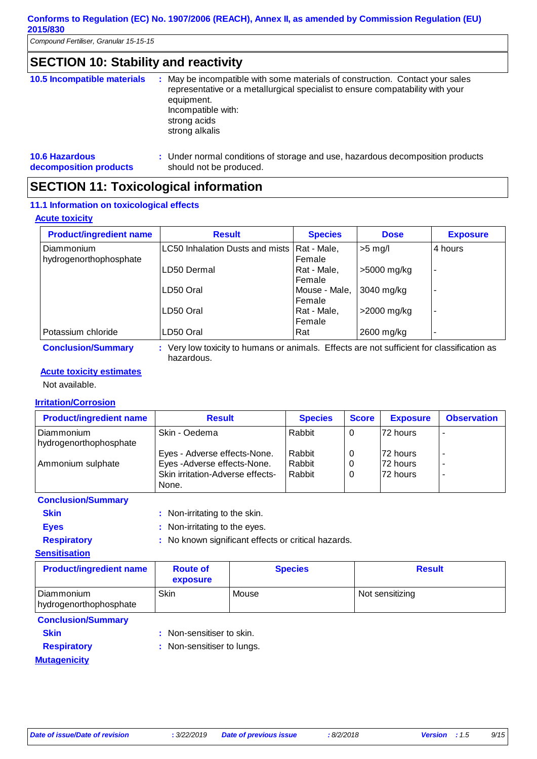*Compound Fertiliser, Granular 15-15-15*

# **SECTION 10: Stability and reactivity**

| 10.5 Incompatible materials | : May be incompatible with some materials of construction. Contact your sales<br>representative or a metallurgical specialist to ensure compatability with your<br>equipment.<br>Incompatible with:<br>strong acids<br>strong alkalis |
|-----------------------------|---------------------------------------------------------------------------------------------------------------------------------------------------------------------------------------------------------------------------------------|
| <b>10.6 Hazardous</b>       | : Under normal conditions of storage and use, hazardous decomposition products                                                                                                                                                        |
| decomposition products      | should not be produced.                                                                                                                                                                                                               |

### **SECTION 11: Toxicological information**

#### **11.1 Information on toxicological effects**

#### **Acute toxicity**

| <b>Product/ingredient name</b>       | <b>Result</b>                   | <b>Species</b>          | <b>Dose</b> | <b>Exposure</b> |
|--------------------------------------|---------------------------------|-------------------------|-------------|-----------------|
| Diammonium<br>hydrogenorthophosphate | LC50 Inhalation Dusts and mists | Rat - Male,<br>Female   | $>5$ mg/l   | 4 hours         |
|                                      | ILD50 Dermal                    | Rat - Male,<br>Female   | >5000 mg/kg | -               |
|                                      | LD50 Oral                       | Mouse - Male,<br>Female | 3040 mg/kg  |                 |
|                                      | LD50 Oral                       | Rat - Male,<br>Female   | >2000 mg/kg |                 |
| Potassium chloride                   | LD50 Oral                       | Rat                     | 2600 mg/kg  |                 |

**Conclusion/Summary :** Very low toxicity to humans or animals. Effects are not sufficient for classification as hazardous.

#### **Acute toxicity estimates**

Not available.

#### **Irritation/Corrosion**

| <b>Product/ingredient name</b>       | <b>Result</b>                                                                                            | <b>Species</b>             | <b>Score</b> | <b>Exposure</b>                    | <b>Observation</b>            |
|--------------------------------------|----------------------------------------------------------------------------------------------------------|----------------------------|--------------|------------------------------------|-------------------------------|
| Diammonium<br>hydrogenorthophosphate | Skin - Oedema                                                                                            | Rabbit                     | 0            | 72 hours                           |                               |
| Ammonium sulphate                    | Eyes - Adverse effects-None.<br>Eyes -Adverse effects-None.<br>Skin irritation-Adverse effects-<br>None. | Rabbit<br>Rabbit<br>Rabbit | 0<br>0<br>0  | l72 hours<br>72 hours<br>172 hours | $\overline{\phantom{a}}$<br>- |

**Conclusion/Summary**

| <b>Skin</b>        | : Non-irritating to the skin.                       |
|--------------------|-----------------------------------------------------|
| <b>Eves</b>        | : Non-irritating to the eyes.                       |
| <b>Respiratory</b> | : No known significant effects or critical hazards. |

**Sensitisation**

| <b>Product/ingredient name</b>       | <b>Route of</b><br>exposure | <b>Species</b> | <b>Result</b>   |
|--------------------------------------|-----------------------------|----------------|-----------------|
| Diammonium<br>hydrogenorthophosphate | Skin                        | Mouse          | Not sensitizing |

#### **Conclusion/Summary**

- 
- **Skin** : Non-sensitiser to skin.

**Mutagenicity**

- **Respiratory** : Non-sensitiser to lungs.
	-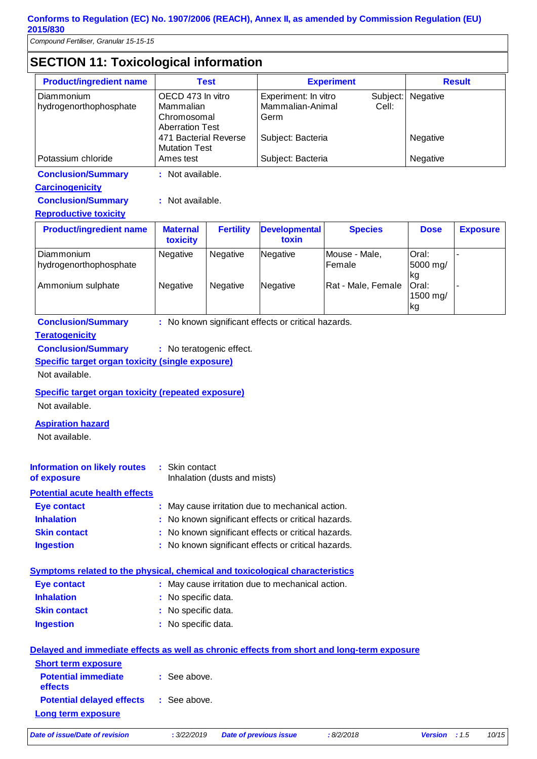*Compound Fertiliser, Granular 15-15-15*

# **SECTION 11: Toxicological information**

| <b>Product/ingredient name</b>       | <b>Test</b>                                                             | <b>Experiment</b>                                | <b>Result</b> |                   |
|--------------------------------------|-------------------------------------------------------------------------|--------------------------------------------------|---------------|-------------------|
| Diammonium<br>hydrogenorthophosphate | OECD 473 In vitro<br>Mammalian<br>Chromosomal<br><b>Aberration Test</b> | Experiment: In vitro<br>Mammalian-Animal<br>Germ | Cell:         | Subject: Negative |
|                                      | 471 Bacterial Reverse<br><b>Mutation Test</b>                           | Subject: Bacteria                                |               | Negative          |
| Potassium chloride                   | Ames test                                                               | Subject: Bacteria                                |               | Negative          |

**Conclusion/Summary :** Not available.

#### **Carcinogenicity**

| <b>Conclusion/Summary</b> |  | Not available. |
|---------------------------|--|----------------|
|---------------------------|--|----------------|

#### **Reproductive toxicity**

| <b>Product/ingredient name</b>                                   | <b>Maternal</b><br>toxicity | <b>Fertility</b>     | <b>Developmental</b><br>toxin | <b>Species</b>                                | <b>Dose</b>                                                 | <b>Exposure</b> |
|------------------------------------------------------------------|-----------------------------|----------------------|-------------------------------|-----------------------------------------------|-------------------------------------------------------------|-----------------|
| <b>Diammonium</b><br>hydrogenorthophosphate<br>Ammonium sulphate | <b>Negative</b><br>Negative | Negative<br>Negative | Negative<br>Negative          | Mouse - Male,<br>Female<br>Rat - Male, Female | Oral:<br>5000 mg/<br> kg<br><b>Oral:</b><br>1500 mg/<br> kg |                 |

**Conclusion/Summary :** No known significant effects or critical hazards.

#### **Teratogenicity**

**Conclusion/Summary :** No teratogenic effect.

**Specific target organ toxicity (single exposure)**

Not available.

#### **Specific target organ toxicity (repeated exposure)**

Not available.

#### **Aspiration hazard**

Not available.

| Information on likely routes<br>of exposure | : Skin contact<br>Inhalation (dusts and mists)      |
|---------------------------------------------|-----------------------------------------------------|
| <b>Potential acute health effects</b>       |                                                     |
| Eye contact                                 | : May cause irritation due to mechanical action.    |
| <b>Inhalation</b>                           | : No known significant effects or critical hazards. |
| <b>Skin contact</b>                         | : No known significant effects or critical hazards. |
|                                             |                                                     |

| <b>Ingestion</b> | : No known significant effects or critical hazards. |  |  |
|------------------|-----------------------------------------------------|--|--|
|                  |                                                     |  |  |

| Symptoms related to the physical, chemical and toxicological characteristics |  |  |  |
|------------------------------------------------------------------------------|--|--|--|
|                                                                              |  |  |  |

| Eye contact         | : May cause irritation due to mechanical action. |
|---------------------|--------------------------------------------------|
| <b>Inhalation</b>   | : No specific data.                              |
| <b>Skin contact</b> | : No specific data.                              |
| <b>Ingestion</b>    | : No specific data.                              |
|                     |                                                  |

|                                               | Delayed and immediate effects as well as chronic effects from short and long-term exposure |
|-----------------------------------------------|--------------------------------------------------------------------------------------------|
| <b>Short term exposure</b>                    |                                                                                            |
| <b>Potential immediate</b><br><b>effects</b>  | : See above.                                                                               |
| <b>Potential delayed effects : See above.</b> |                                                                                            |
| Long term exposure                            |                                                                                            |

*Date of issue/Date of revision* **:** *3/22/2019 Date of previous issue : 8/2/2018 Version : 1.5 10/15*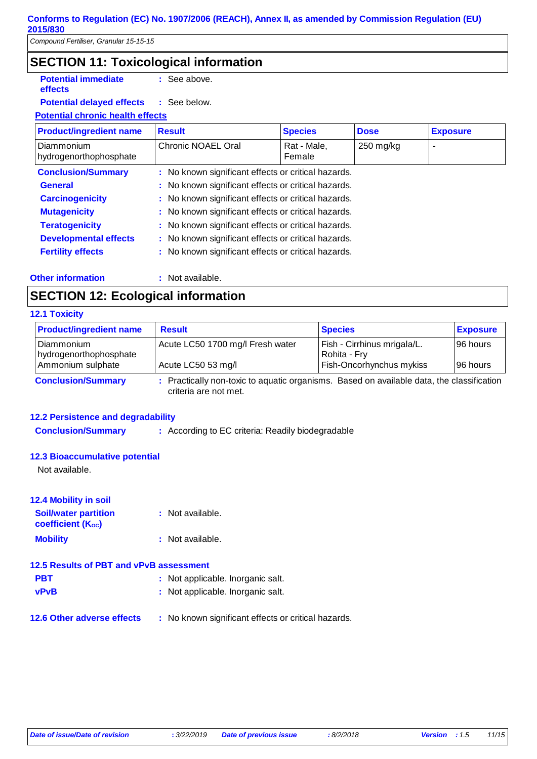**effects**

# **SECTION 11: Toxicological information**

**Potential immediate :** See above.

#### **Potential delayed effects :** : See below.

#### **Potential chronic health effects**

| <b>Product/ingredient name</b>       | <b>Result</b>                                       | <b>Species</b>        | <b>Dose</b> | <b>Exposure</b> |
|--------------------------------------|-----------------------------------------------------|-----------------------|-------------|-----------------|
| Diammonium<br>hydrogenorthophosphate | Chronic NOAEL Oral                                  | Rat - Male,<br>Female | $250$ mg/kg | -               |
| <b>Conclusion/Summary</b>            | : No known significant effects or critical hazards. |                       |             |                 |
| <b>General</b>                       | : No known significant effects or critical hazards. |                       |             |                 |
| <b>Carcinogenicity</b>               | : No known significant effects or critical hazards. |                       |             |                 |
| <b>Mutagenicity</b>                  | : No known significant effects or critical hazards. |                       |             |                 |
| <b>Teratogenicity</b>                | : No known significant effects or critical hazards. |                       |             |                 |
| <b>Developmental effects</b>         | : No known significant effects or critical hazards. |                       |             |                 |
| <b>Fertility effects</b>             | : No known significant effects or critical hazards. |                       |             |                 |
|                                      |                                                     |                       |             |                 |

#### **Other information :**

: Not available.

# **SECTION 12: Ecological information**

#### **12.1 Toxicity**

| <b>Product/ingredient name</b>                              | <b>Result</b>                                                                             | <b>Species</b>                                                          | <b>Exposure</b>       |
|-------------------------------------------------------------|-------------------------------------------------------------------------------------------|-------------------------------------------------------------------------|-----------------------|
| l Diammonium<br>hydrogenorthophosphate<br>Ammonium sulphate | Acute LC50 1700 mg/l Fresh water<br>Acute LC50 53 mg/l                                    | Fish - Cirrhinus mrigala/L.<br>Rohita - Fry<br>Fish-Oncorhynchus mykiss | 196 hours<br>96 hours |
| <b>Conclusion/Summary</b>                                   | : Practically non-toxic to aquatic organisms. Based on available data, the classification |                                                                         |                       |

criteria are not met.

#### **12.2 Persistence and degradability**

**Conclusion/Summary :** According to EC criteria: Readily biodegradable

#### **12.3 Bioaccumulative potential**

Not available.

#### **12.4 Mobility in soil**

| <b>Soil/water partition</b><br><b>coefficient (Koc)</b> | : Not available. |
|---------------------------------------------------------|------------------|
| <b>Mobility</b>                                         | : Not available. |

#### **12.5 Results of PBT and vPvB assessment**

| <b>PBT</b>     | : Not applicable. Inorganic salt. |
|----------------|-----------------------------------|
| <b>SERVICE</b> | . Natasalaahta laasaasia salt     |

- **vPvB :** Not applicable. Inorganic salt.
- **12.6 Other adverse effects** : No known significant effects or critical hazards.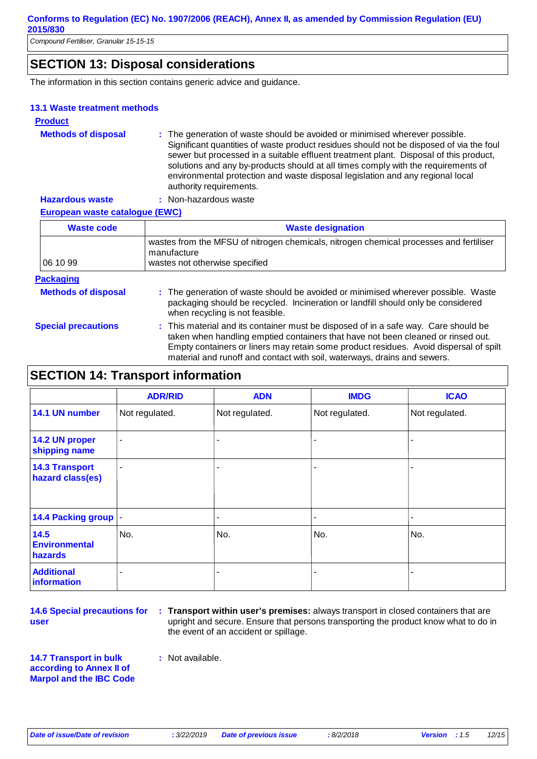# **SECTION 13: Disposal considerations**

The information in this section contains generic advice and guidance.

#### **13.1 Waste treatment methods**

| <b>Product</b>             |                                                                                                                                                                                                                                                                                                                                                                                                                                                                   |
|----------------------------|-------------------------------------------------------------------------------------------------------------------------------------------------------------------------------------------------------------------------------------------------------------------------------------------------------------------------------------------------------------------------------------------------------------------------------------------------------------------|
| <b>Methods of disposal</b> | : The generation of waste should be avoided or minimised wherever possible.<br>Significant quantities of waste product residues should not be disposed of via the foul<br>sewer but processed in a suitable effluent treatment plant. Disposal of this product,<br>solutions and any by-products should at all times comply with the requirements of<br>environmental protection and waste disposal legislation and any regional local<br>authority requirements. |
| <b>Hazardous waste</b>     | : Non-hazardous waste                                                                                                                                                                                                                                                                                                                                                                                                                                             |

#### **European waste catalogue (EWC)**

| <b>Waste code</b> | <b>Waste designation</b>                                                                                                                |  |  |
|-------------------|-----------------------------------------------------------------------------------------------------------------------------------------|--|--|
| 06 10 99          | wastes from the MFSU of nitrogen chemicals, nitrogen chemical processes and fertiliser<br>manufacture<br>wastes not otherwise specified |  |  |
| <b>Packaging</b>  |                                                                                                                                         |  |  |

#### **Methods of disposal** The generation of waste should be avoided or minimised wherever possible. Waste packaging should be recycled. Incineration or landfill should only be considered when recycling is not feasible.

**Special precautions :** This material and its container must be disposed of in a safe way. Care should be taken when handling emptied containers that have not been cleaned or rinsed out. Empty containers or liners may retain some product residues. Avoid dispersal of spilt material and runoff and contact with soil, waterways, drains and sewers.

# **SECTION 14: Transport information**

|                                                | <b>ADR/RID</b> | <b>ADN</b>               | <b>IMDG</b>    | <b>ICAO</b>    |
|------------------------------------------------|----------------|--------------------------|----------------|----------------|
| 14.1 UN number                                 | Not regulated. | Not regulated.           | Not regulated. | Not regulated. |
| 14.2 UN proper<br>shipping name                | ٠              | ۰                        |                |                |
| <b>14.3 Transport</b><br>hazard class(es)      | $\blacksquare$ | $\overline{\phantom{a}}$ |                |                |
| 14.4 Packing group  -                          |                | $\overline{\phantom{a}}$ |                |                |
| 14.5<br><b>Environmental</b><br><b>hazards</b> | No.            | No.                      | No.            | No.            |
| <b>Additional</b><br>information               | $\blacksquare$ | ۰                        |                |                |

**14.6 Special precautions for user**

**Transport within user's premises:** always transport in closed containers that are **:** upright and secure. Ensure that persons transporting the product know what to do in the event of an accident or spillage.

**14.7 Transport in bulk according to Annex II of Marpol and the IBC Code :** Not available.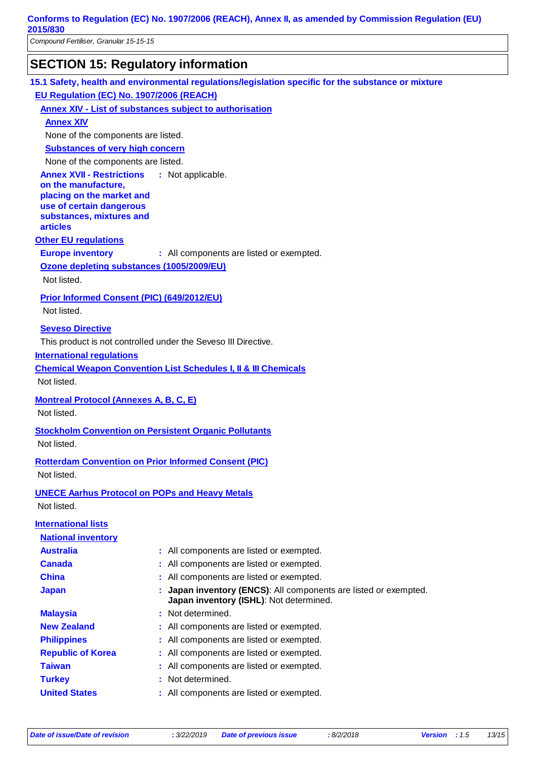*Compound Fertiliser, Granular 15-15-15*

# **SECTION 15: Regulatory information**

**15.1 Safety, health and environmental regulations/legislation specific for the substance or mixture**

**EU Regulation (EC) No. 1907/2006 (REACH)**

**Annex XIV - List of substances subject to authorisation**

**Annex XIV**

None of the components are listed.

**Substances of very high concern**

None of the components are listed.

**Annex XVII - Restrictions** : Not applicable.

**on the manufacture, placing on the market and use of certain dangerous substances, mixtures and articles**

#### **Other EU regulations**

**Europe inventory** : All components are listed or exempted.

**Ozone depleting substances (1005/2009/EU)**

Not listed.

#### **Prior Informed Consent (PIC) (649/2012/EU)**

Not listed.

#### **Seveso Directive**

This product is not controlled under the Seveso III Directive.

#### **International regulations**

**Chemical Weapon Convention List Schedules I, II & III Chemicals**

Not listed.

**Montreal Protocol (Annexes A, B, C, E)**

Not listed.

**Stockholm Convention on Persistent Organic Pollutants** Not listed.

**Rotterdam Convention on Prior Informed Consent (PIC)** Not listed.

**UNECE Aarhus Protocol on POPs and Heavy Metals** Not listed.

| <b>International lists</b> |                                                                                                             |
|----------------------------|-------------------------------------------------------------------------------------------------------------|
| <b>National inventory</b>  |                                                                                                             |
| <b>Australia</b>           | : All components are listed or exempted.                                                                    |
| <b>Canada</b>              | : All components are listed or exempted.                                                                    |
| <b>China</b>               | : All components are listed or exempted.                                                                    |
| <b>Japan</b>               | : Japan inventory (ENCS): All components are listed or exempted.<br>Japan inventory (ISHL): Not determined. |
| <b>Malaysia</b>            | : Not determined.                                                                                           |
| <b>New Zealand</b>         | : All components are listed or exempted.                                                                    |
| <b>Philippines</b>         | : All components are listed or exempted.                                                                    |
| <b>Republic of Korea</b>   | : All components are listed or exempted.                                                                    |
| <b>Taiwan</b>              | : All components are listed or exempted.                                                                    |
| <b>Turkey</b>              | : Not determined.                                                                                           |
| <b>United States</b>       | : All components are listed or exempted.                                                                    |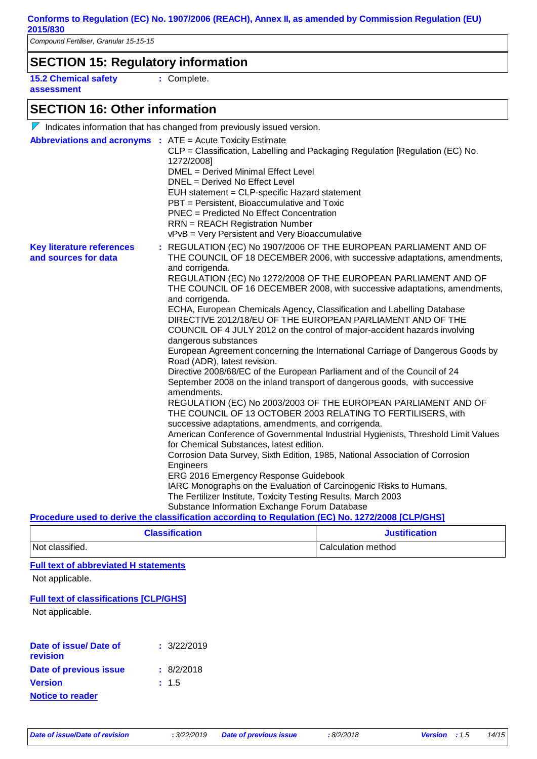# **SECTION 15: Regulatory information**

**15.2 Chemical safety assessment**

**:** Complete.

# **SECTION 16: Other information**

|                                                          | $\nabla$ Indicates information that has changed from previously issued version.                                                                                                                                                                                                                                                                                                                                                                                                                                                                                                                                                                                                                                                                                                                                                                                                                                                                                                                                                                                                                                                                                                                                                                                                                                                                                                                                                                                                                                                                                                                                                          |
|----------------------------------------------------------|------------------------------------------------------------------------------------------------------------------------------------------------------------------------------------------------------------------------------------------------------------------------------------------------------------------------------------------------------------------------------------------------------------------------------------------------------------------------------------------------------------------------------------------------------------------------------------------------------------------------------------------------------------------------------------------------------------------------------------------------------------------------------------------------------------------------------------------------------------------------------------------------------------------------------------------------------------------------------------------------------------------------------------------------------------------------------------------------------------------------------------------------------------------------------------------------------------------------------------------------------------------------------------------------------------------------------------------------------------------------------------------------------------------------------------------------------------------------------------------------------------------------------------------------------------------------------------------------------------------------------------------|
|                                                          | <b>Abbreviations and acronyms : ATE = Acute Toxicity Estimate</b><br>CLP = Classification, Labelling and Packaging Regulation [Regulation (EC) No.<br>1272/2008]<br>DMEL = Derived Minimal Effect Level<br>DNEL = Derived No Effect Level<br>EUH statement = CLP-specific Hazard statement<br>PBT = Persistent, Bioaccumulative and Toxic<br><b>PNEC</b> = Predicted No Effect Concentration<br><b>RRN</b> = REACH Registration Number<br>vPvB = Very Persistent and Very Bioaccumulative                                                                                                                                                                                                                                                                                                                                                                                                                                                                                                                                                                                                                                                                                                                                                                                                                                                                                                                                                                                                                                                                                                                                                |
| <b>Key literature references</b><br>and sources for data | : REGULATION (EC) No 1907/2006 OF THE EUROPEAN PARLIAMENT AND OF<br>THE COUNCIL OF 18 DECEMBER 2006, with successive adaptations, amendments,<br>and corrigenda.<br>REGULATION (EC) No 1272/2008 OF THE EUROPEAN PARLIAMENT AND OF<br>THE COUNCIL OF 16 DECEMBER 2008, with successive adaptations, amendments,<br>and corrigenda.<br>ECHA, European Chemicals Agency, Classification and Labelling Database<br>DIRECTIVE 2012/18/EU OF THE EUROPEAN PARLIAMENT AND OF THE<br>COUNCIL OF 4 JULY 2012 on the control of major-accident hazards involving<br>dangerous substances<br>European Agreement concerning the International Carriage of Dangerous Goods by<br>Road (ADR), latest revision.<br>Directive 2008/68/EC of the European Parliament and of the Council of 24<br>September 2008 on the inland transport of dangerous goods, with successive<br>amendments.<br>REGULATION (EC) No 2003/2003 OF THE EUROPEAN PARLIAMENT AND OF<br>THE COUNCIL OF 13 OCTOBER 2003 RELATING TO FERTILISERS, with<br>successive adaptations, amendments, and corrigenda.<br>American Conference of Governmental Industrial Hygienists, Threshold Limit Values<br>for Chemical Substances, latest edition.<br>Corrosion Data Survey, Sixth Edition, 1985, National Association of Corrosion<br>Engineers<br>ERG 2016 Emergency Response Guidebook<br>IARC Monographs on the Evaluation of Carcinogenic Risks to Humans.<br>The Fertilizer Institute, Toxicity Testing Results, March 2003<br>Substance Information Exchange Forum Database<br>Procedure used to derive the classification according to Regulation (EC) No. 1272/2008 [CLP/GHS] |
|                                                          |                                                                                                                                                                                                                                                                                                                                                                                                                                                                                                                                                                                                                                                                                                                                                                                                                                                                                                                                                                                                                                                                                                                                                                                                                                                                                                                                                                                                                                                                                                                                                                                                                                          |

| <b>Classification</b> | <b>Justification</b> |
|-----------------------|----------------------|
| Not classified.       | Calculation method   |

#### **Full text of abbreviated H statements**

Not applicable.

#### **Full text of classifications [CLP/GHS]**

Not applicable.

| Date of issue/ Date of<br>revision | : 3/22/2019 |
|------------------------------------|-------------|
| Date of previous issue             | : 8/2/2018  |
| <b>Version</b>                     | : 1.5       |
| <b>Notice to reader</b>            |             |